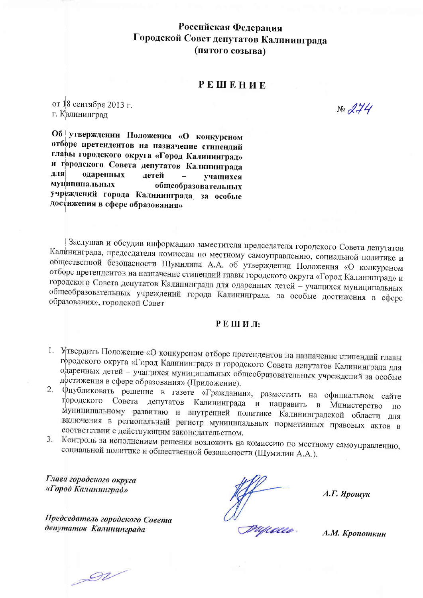Российская Федерация Городской Совет депутатов Калининграда (пятого созыва)

### **РЕШЕНИЕ**

от 18 сентября 2013 г. г. Калининград

Об утверждении Положения «О конкурсном отборе претендентов на назначение стипендий главы городского округа «Город Калининград» и городского Совета депутатов Калининграда для одаренных детей учащихся муниципальных общеобразовательных учреждений города Калининграда, за особые достижения в сфере образования»

Заслушав и обсудив информацию заместителя председателя городского Совета депутатов Калининграда, председателя комиссии по местному самоуправлению, социальной политике и общественной безопасности Шумилина А.А. об утверждении Положения «О конкурсном отборе претендентов на назначение стипендий главы городского округа «Город Калининград» и городского Совета депутатов Калининграда для одаренных детей - учащихся муниципальных общеобразовательных учреждений города Калининграда за особые достижения в сфере образования», городской Совет

#### РЕШИЛ:

- 1. Утвердить Положение «О конкурсном отборе претендентов на назначение стипендий главы городского округа «Город Калининград» и городского Совета депутатов Калининграда для одаренных детей - учащихся муниципальных общеобразовательных учреждений за особые достижения в сфере образования» (Приложение).
- 2. Фпубликовать решение в газете «Гражданин», разместить на официальном сайте Совета депутатов Калининграда и направить в Министерство городского  $\Pi$ O муниципальному развитию и внутренней политике Калининградской области для включения в региональный регистр муниципальных нормативных правовых актов в соответствии с действующим законодательством.
- Контроль за исполнением решения возложить на комиссию по местному самоуправлению,  $3.$ социальной политике и общественной безопасности (Шумилин А.А.).

Глава городского округа «Город Калининград»

Председатель городского Совета депутатов Калининграда

 $A.\Gamma$ . Ярошук

А.М. Кропоткин

 $\mathscr{D}V$ 

 $N_{0}$  274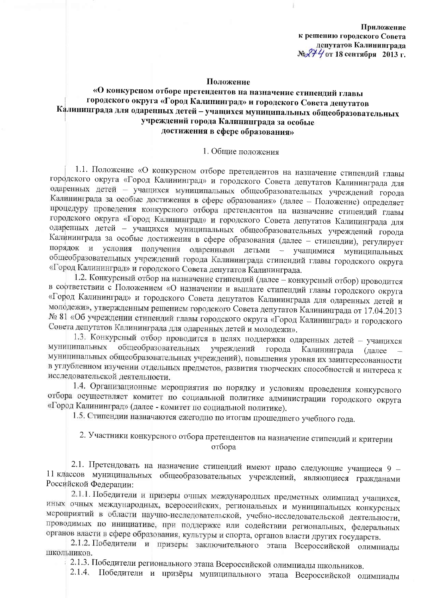Приложение к решению городского Совета депутатов Калининграда № 274 от 18 сентября 2013 г.

#### Положение

## «О конкурсном отборе претендентов на назначение стипендий главы городского округа «Город Калининград» и городского Совета депутатов Калининграда для одаренных детей - учащихся муниципальных общеобразовательных учреждений города Калининграда за особые достижения в сфере образования»

#### 1. Общие положения

1.1. Положение «О конкурсном отборе претендентов на назначение стипендий главы городского округа «Город Калининград» и городского Совета депутатов Калининграда для одаренных детей - учащихся муниципальных общеобразовательных учреждений города Калининграда за особые достижения в сфере образования» (далее - Положение) определяет процедуру проведения конкурсного отбора претендентов на назначение стипендий главы городского округа «Город Калининград» и городского Совета депутатов Калининграда для одаренных детей - учащихся муниципальных общеобразовательных учреждений города Калининграда за особые достижения в сфере образования (далее - стипендии), регулирует порядок и условия получения одаренными детьми - учащимися муниципальных общеобразовательных учреждений города Калининграда стипендий главы городского округа «Город Калининград» и городского Совета депутатов Калининграда.

1.2. Конкурсный отбор на назначение стипендий (далее - конкурсный отбор) проводится в соответствии с Положением «О назначении и выплате стипендий главы городского округа «Город Калининград» и городского Совета депутатов Калининграда для одаренных детей и молодежи», утвержденным решением городского Совета депутатов Калининграда от 17.04.2013 № 81 «Об учреждении стипендий главы городского округа «Город Калининград» и городского Совета депутатов Калининграда для одаренных детей и молодежи».

1.3. Конкурсный отбор проводится в целях поддержки одаренных детей - учащихся муниципальных общеобразовательных учреждений города Калининграда (далее муниципальных общеобразовательных учреждений), повышения уровня их заинтересованности в углубленном изучении отдельных предметов, развития творческих способностей и интереса к исследовательской деятельности.

1.4. Организационные мероприятия по порядку и условиям проведения конкурсного отбора осуществляет комитет по социальной политике администрации городского округа «Город Калининград» (далее - комитет по социальной политике).

1.5. Стипендии назначаются ежегодно по итогам прошедшего учебного года.

2. Участники конкурсного отбора претендентов на назначение стипендий и критерии отбора

2.1. Претендовать на назначение стипендий имеют право следующие учащиеся 9 -11 классов муниципальных общеобразовательных учреждений, являющиеся гражданами Российской Федерации:

2.1.1. Победители и призеры очных международных предметных олимпиад учащихся, иных очных международных, всероссийских, региональных и муниципальных конкурсных мероприятий в области научно-исследовательской, учебно-исследовательской деятельности, проводимых по инициативе, при поддержке или содействии региональных, федеральных органов власти в сфере образования, культуры и спорта, органов власти других государств.

2.1.2. Победители и призеры заключительного этапа Всероссийской олимпиады ШКОЛЬНИКОВ.

2.1.3. Победители регионального этапа Всероссийской олимпиады школьников.

2.1.4. Победители и призёры муниципального этапа Всероссийской олимпиады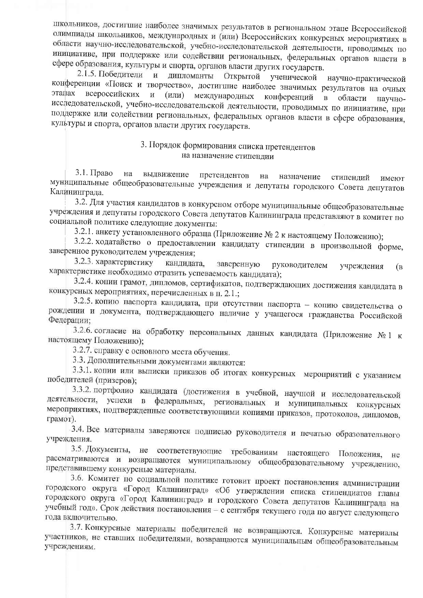школьников, достигшие наиболее значимых результатов в региональном этапе Всероссийской олимпиады школьников, международных и (или) Всероссийских конкурсных мероприятиях в области научно-исследовательской, учебно-исследовательской деятельности, проводимых по инициативе, при поддержке или содействии региональных, федеральных органов власти в сфере образования, культуры и спорта, органов власти других государств.

2.1.5. Победители и дипломанты Открытой ученической научно-практической конференции «Поиск и творчество», достигшие наиболее значимых результатов на очных этапах всероссийских и (или) международных конференций  $\mathbf{B}$ области научноисследовательской, учебно-исследовательской деятельности, проводимых по инициативе, при поддержке или содействии региональных, федеральных органов власти в сфере образования, культуры и спорта, органов власти других государств.

## 3. Порядок формирования списка претендентов на назначение стипендии

 $3.1.$  Право на выдвижение претендентов Ha назначение стипенлий имеют муниципальные общеобразовательные учреждения и депутаты городского Совета депутатов Калининграда.

3.2. Для участия кандидатов в конкурсном отборе муниципальные общеобразовательные учреждения и депутаты городского Совета депутатов Калининграда представляют в комитет по социальной политике следующие документы:

3.2.1. анкету установленного образца (Приложение № 2 к настоящему Положению);

3.2.2. ходатайство о предоставлении кандидату стипендии в произвольной форме, заверенное руководителем учреждения;

3.2.3. характеристику кандидата, заверенную руководителем учреждения  $(B)$ характеристике необходимо отразить успеваемость кандидата);

3.2.4. копии грамот, дипломов, сертификатов, подтверждающих достижения кандидата в конкурсных мероприятиях, перечисленных в п. 2.1.;

3.2.5. копию паспорта кандидата, при отсутствии паспорта - копию свидетельства о рождении и документа, подтверждающего наличие у учащегося гражданства Российской Федерации;

3.2.6. согласие на обработку персональных данных кандидата (Приложение №1 к настоящему Положению);

3.2.7. справку с основного места обучения.

3.3. Дополнительными документами являются:

3.3.1. копии или выписки приказов об итогах конкурсных мероприятий с указанием победителей (призеров);

3.3.2. портфолио кандидата (достижения в учебной, научной и исследовательской деятельности, успехи в федеральных, региональных и муниципальных конкурсных мероприятиях, подтвержденные соответствующими копиями приказов, протоколов, дипломов, грамот).

3.4. Все материалы заверяются подписью руководителя и печатью образовательного учреждения.

3.5. Документы, не соответствующие требованиям настоящего Положения, He рассматриваются и возвращаются муниципальному общеобразовательному учреждению, представившему конкурсные материалы.

3.6. Комитет по социальной политике готовит проект постановления администрации городского округа «Город Калининград» «Об утверждении списка стипендиатов главы городского округа «Город Калининград» и городского Совета депутатов Калининграда на учебный год». Срок действия постановления - с сентября текущего года по август следующего года включительно.

3.7. Конкурсные материалы победителей не возвращаются. Конкурсные материалы участников, не ставших победителями, возвращаются муниципальным общеобразовательным учреждениям.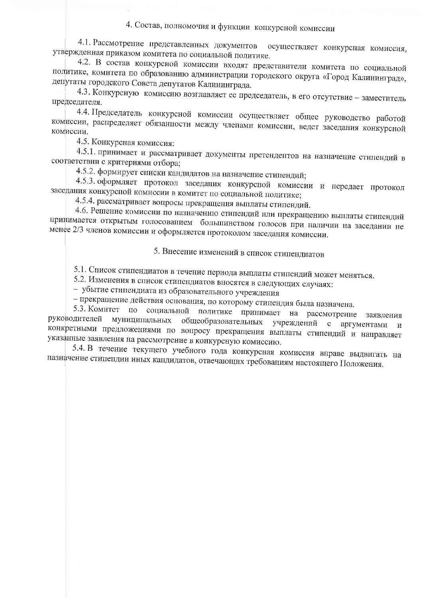# 4. Состав, полномочия и функции конкурсной комиссии

4.1. Рассмотрение представленных документов осуществляет конкурсная комиссия, утвержденная приказом комитета по социальной политике.

4.2. В состав конкурсной комиссии входят представители комитета по социальной политике, комитета по образованию администрации городского округа «Город Калининград», депутаты городского Совета депутатов Калининграда.

4.3. Конкурсную комиссию возглавляет ее председатель, в его отсутствие - заместитель председателя.

4.4. Председатель конкурсной комиссии осуществляет общее руководство работой комиссии, распределяет обязанности между членами комиссии, ведет заседания конкурсной комиссии.

4.5. Конкурсная комиссия:

4.5.1. принимает и рассматривает документы претендентов на назначение стипендий в соответствии с критериями отбора;

4.5.2. формирует списки кандидатов на назначение стипендий;

4.5.3. оформляет протокол заседания конкурсной комиссии и передает протокол заседания конкурсной комиссии в комитет по социальной политике;

4.5.4. рассматривает вопросы прекращения выплаты стипендий.

4.6. Решение комиссии по назначению стипендий или прекращению выплаты стипендий принимается открытым голосованием большинством голосов при наличии на заседании не менее 2/3 членов комиссии и оформляется протоколом заседания комиссии.

5. Внесение изменений в список стипендиатов

5.1. Список стипендиатов в течение периода выплаты стипендий может меняться.

5.2. Изменения в список стипендиатов вносятся в следующих случаях:

- убытие стипендиата из образовательного учреждения

- прекращение действия основания, по которому стипендия была назначена.

5.3. Комитет по социальной политике принимает на рассмотрение заявления руководителей муниципальных общеобразовательных учреждений с аргументами  $\mathbf{M}$ конкретными предложениями по вопросу прекращения выплаты стипендий и направляет указанные заявления на рассмотрение в конкурсную комиссию.

5.4. В течение текущего учебного года конкурсная комиссия вправе выдвигать на назначение стипендии иных кандидатов, отвечающих требованиям настоящего Положения.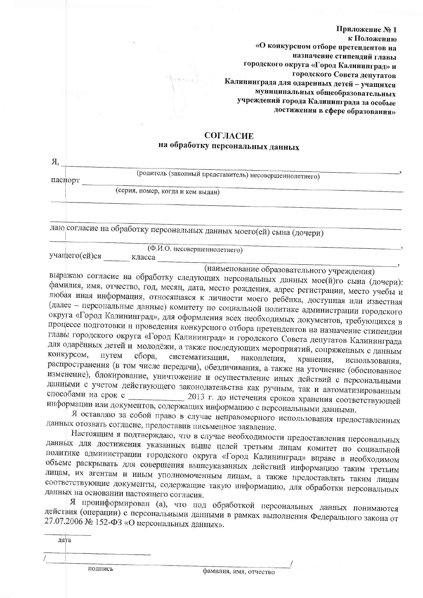Приложение №1 к Положению «О конкурсном отборе претендентов на назначение стипендий главы городского округа «Город Калининград» и городского Совета депутатов Калининграда для одаренных детей - учащихся муниципальных общеобразовательных учреждений города Калининграда за особые достижения в сфере образования»

## **СОГЛАСИЕ** на обработку персональных данных

| Я,      |                                                                       |  |
|---------|-----------------------------------------------------------------------|--|
| паспорт | (родитель (законный представитель) несовершеннолетнего)               |  |
|         | (серия, номер, когда и кем выдан)                                     |  |
|         | даю согласие на обработку персональных данных моего(ей) сына (дочери) |  |
|         | (Ф.И.О. несовершеннолетнего)                                          |  |

учащего(ей)ся

класса

(наименование образовательного учреждения)

выражаю согласие на обработку следующих персональных данных мое(й)го сына (дочери): фамилия, имя, отчество, год, месяц, дата, место рождения, адрес регистрации, место учебы и любая иная информация, относящаяся к личности моего ребёнка, доступная или известная (далее - персональные данные) комитету по социальной политике администрации городского округа «Город Калининград», для оформления всех необходимых документов, требующихся в процессе подготовки и проведения конкурсного отбора претендентов на назначение стипендии главы городского округа «Город Калининград» и городского Совета депутатов Калининграда для одарённых детей и молодёжи, а также последующих мероприятий, сопряженных с данным конкурсом. путем сбора, систематизации, накопления, хранения, использования, распространения (в том числе передачи), обезличивания, а также на уточнение (обоснованное изменение), блокирование, уничтожение и осуществление иных действий с персональными данными с учетом действующего законодательства как ручным, так и автоматизированным способами на срок с 2013 г. до истечения сроков хранения соответствующей информации или документов, содержащих информацию с персональными данными.

Я оставляю за собой право в случае неправомерного использования предоставленных данных отозвать согласие, предоставив письменное заявление.

Настоящим я подтверждаю, что в случае необходимости предоставления персональных данных для достижения указанных выше целей третьим лицам комитет по социальной политике администрации городского округа «Город Калининград» вправе в необходимом объеме раскрывать для совершения вышеуказанных действий информацию таким третьим лицам, их агентам и иным уполномоченным лицам, а также предоставлять таким лицам соответствующие документы, содержащие такую информацию, для обработки персональных данных на основании настоящего согласия.

Я проинформирован (а), что под обработкой персональных данных понимаются действия (операции) с персональными данными в рамках выполнения Федерального закона от 27.07.2006 № 152-ФЗ «О персональных данных».

дата подпись

фамилия, имя, отчество